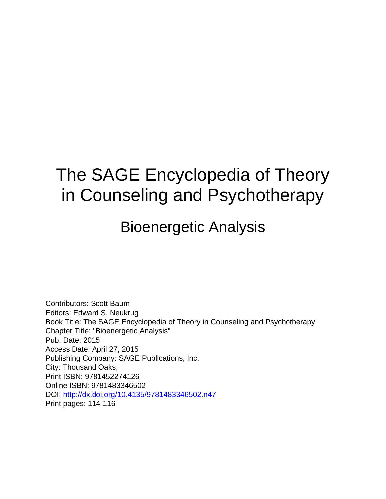# The SAGE Encyclopedia of Theory in Counseling and Psychotherapy

### Bioenergetic Analysis

Contributors: Scott Baum Editors: Edward S. Neukrug Book Title: The SAGE Encyclopedia of Theory in Counseling and Psychotherapy Chapter Title: "Bioenergetic Analysis" Pub. Date: 2015 Access Date: April 27, 2015 Publishing Company: SAGE Publications, Inc. City: Thousand Oaks, Print ISBN: 9781452274126 Online ISBN: 9781483346502 DOI:<http://dx.doi.org/10.4135/9781483346502.n47> Print pages: 114-116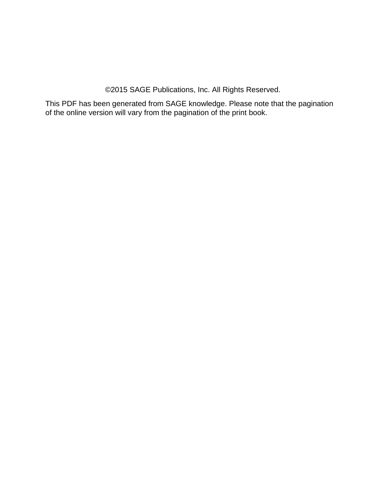©2015 SAGE Publications, Inc. All Rights Reserved.

This PDF has been generated from SAGE knowledge. Please note that the pagination of the online version will vary from the pagination of the print book.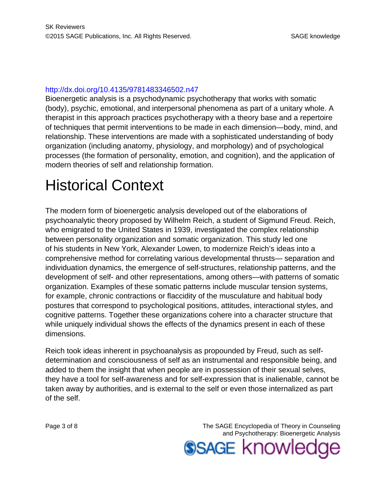#### <http://dx.doi.org/10.4135/9781483346502.n47>

Bioenergetic analysis is a psychodynamic psychotherapy that works with somatic (body), psychic, emotional, and interpersonal phenomena as part of a unitary whole. A therapist in this approach practices psychotherapy with a theory base and a repertoire of techniques that permit interventions to be made in each dimension—body, mind, and relationship. These interventions are made with a sophisticated understanding of body organization (including anatomy, physiology, and morphology) and of psychological processes (the formation of personality, emotion, and cognition), and the application of modern theories of self and relationship formation.

## Historical Context

The modern form of bioenergetic analysis developed out of the elaborations of psychoanalytic theory proposed by Wilhelm Reich, a student of Sigmund Freud. Reich, who emigrated to the United States in 1939, investigated the complex relationship between personality organization and somatic organization. This study led one of his students in New York, Alexander Lowen, to modernize Reich's ideas into a comprehensive method for correlating various developmental thrusts— separation and individuation dynamics, the emergence of self-structures, relationship patterns, and the development of self- and other representations, among others—with patterns of somatic organization. Examples of these somatic patterns include muscular tension systems, for example, chronic contractions or flaccidity of the musculature and habitual body postures that correspond to psychological positions, attitudes, interactional styles, and cognitive patterns. Together these organizations cohere into a character structure that while uniquely individual shows the effects of the dynamics present in each of these dimensions.

Reich took ideas inherent in psychoanalysis as propounded by Freud, such as selfdetermination and consciousness of self as an instrumental and responsible being, and added to them the insight that when people are in possession of their sexual selves, they have a tool for self-awareness and for self-expression that is inalienable, cannot be taken away by authorities, and is external to the self or even those internalized as part of the self.

Page 3 of 8 The SAGE Encyclopedia of Theory in Counseling and Psychotherapy: Bioenergetic Analysis **SSAGE knowled**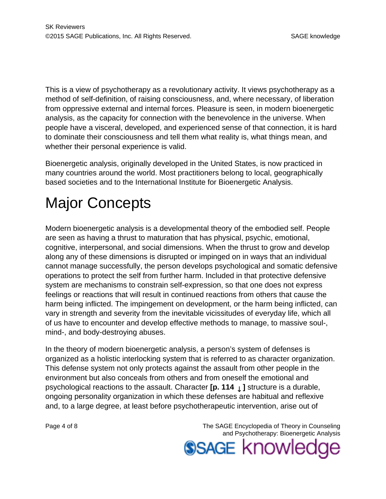This is a view of psychotherapy as a revolutionary activity. It views psychotherapy as a method of self-definition, of raising consciousness, and, where necessary, of liberation from oppressive external and internal forces. Pleasure is seen, in modern bioenergetic analysis, as the capacity for connection with the benevolence in the universe. When people have a visceral, developed, and experienced sense of that connection, it is hard to dominate their consciousness and tell them what reality is, what things mean, and whether their personal experience is valid.

Bioenergetic analysis, originally developed in the United States, is now practiced in many countries around the world. Most practitioners belong to local, geographically based societies and to the International Institute for Bioenergetic Analysis.

# Major Concepts

Modern bioenergetic analysis is a developmental theory of the embodied self. People are seen as having a thrust to maturation that has physical, psychic, emotional, cognitive, interpersonal, and social dimensions. When the thrust to grow and develop along any of these dimensions is disrupted or impinged on in ways that an individual cannot manage successfully, the person develops psychological and somatic defensive operations to protect the self from further harm. Included in that protective defensive system are mechanisms to constrain self-expression, so that one does not express feelings or reactions that will result in continued reactions from others that cause the harm being inflicted. The impingement on development, or the harm being inflicted, can vary in strength and severity from the inevitable vicissitudes of everyday life, which all of us have to encounter and develop effective methods to manage, to massive soul-, mind-, and body-destroying abuses.

In the theory of modern bioenergetic analysis, a person's system of defenses is organized as a holistic interlocking system that is referred to as character organization. This defense system not only protects against the assault from other people in the environment but also conceals from others and from oneself the emotional and psychological reactions to the assault. Character **[p. 114** ↓ **]** structure is a durable, ongoing personality organization in which these defenses are habitual and reflexive and, to a large degree, at least before psychotherapeutic intervention, arise out of

Page 4 of 8 The SAGE Encyclopedia of Theory in Counseling and Psychotherapy: Bioenergetic Analysis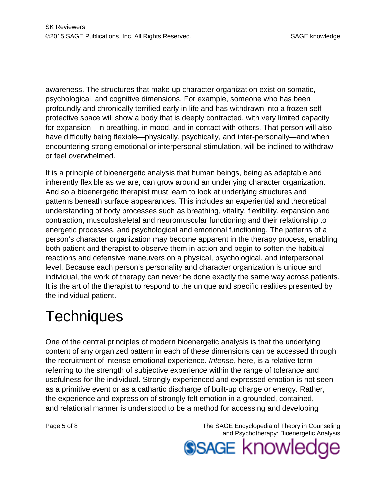awareness. The structures that make up character organization exist on somatic, psychological, and cognitive dimensions. For example, someone who has been profoundly and chronically terrified early in life and has withdrawn into a frozen selfprotective space will show a body that is deeply contracted, with very limited capacity for expansion—in breathing, in mood, and in contact with others. That person will also have difficulty being flexible—physically, psychically, and inter-personally—and when encountering strong emotional or interpersonal stimulation, will be inclined to withdraw or feel overwhelmed.

It is a principle of bioenergetic analysis that human beings, being as adaptable and inherently flexible as we are, can grow around an underlying character organization. And so a bioenergetic therapist must learn to look at underlying structures and patterns beneath surface appearances. This includes an experiential and theoretical understanding of body processes such as breathing, vitality, flexibility, expansion and contraction, musculoskeletal and neuromuscular functioning and their relationship to energetic processes, and psychological and emotional functioning. The patterns of a person's character organization may become apparent in the therapy process, enabling both patient and therapist to observe them in action and begin to soften the habitual reactions and defensive maneuvers on a physical, psychological, and interpersonal level. Because each person's personality and character organization is unique and individual, the work of therapy can never be done exactly the same way across patients. It is the art of the therapist to respond to the unique and specific realities presented by the individual patient.

## **Techniques**

One of the central principles of modern bioenergetic analysis is that the underlying content of any organized pattern in each of these dimensions can be accessed through the recruitment of intense emotional experience. Intense, here, is a relative term referring to the strength of subjective experience within the range of tolerance and usefulness for the individual. Strongly experienced and expressed emotion is not seen as a primitive event or as a cathartic discharge of built-up charge or energy. Rather, the experience and expression of strongly felt emotion in a grounded, contained, and relational manner is understood to be a method for accessing and developing

Page 5 of 8 The SAGE Encyclopedia of Theory in Counseling and Psychotherapy: Bioenergetic Analysis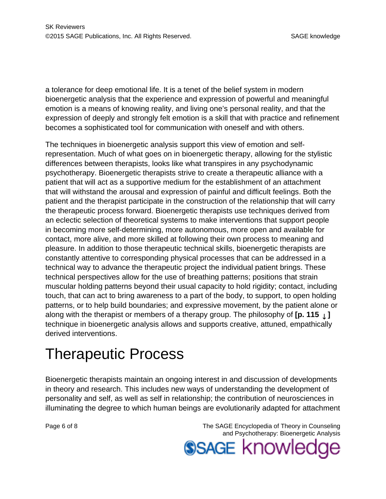a tolerance for deep emotional life. It is a tenet of the belief system in modern bioenergetic analysis that the experience and expression of powerful and meaningful emotion is a means of knowing reality, and living one's personal reality, and that the expression of deeply and strongly felt emotion is a skill that with practice and refinement becomes a sophisticated tool for communication with oneself and with others.

The techniques in bioenergetic analysis support this view of emotion and selfrepresentation. Much of what goes on in bioenergetic therapy, allowing for the stylistic differences between therapists, looks like what transpires in any psychodynamic psychotherapy. Bioenergetic therapists strive to create a therapeutic alliance with a patient that will act as a supportive medium for the establishment of an attachment that will withstand the arousal and expression of painful and difficult feelings. Both the patient and the therapist participate in the construction of the relationship that will carry the therapeutic process forward. Bioenergetic therapists use techniques derived from an eclectic selection of theoretical systems to make interventions that support people in becoming more self-determining, more autonomous, more open and available for contact, more alive, and more skilled at following their own process to meaning and pleasure. In addition to those therapeutic technical skills, bioenergetic therapists are constantly attentive to corresponding physical processes that can be addressed in a technical way to advance the therapeutic project the individual patient brings. These technical perspectives allow for the use of breathing patterns; positions that strain muscular holding patterns beyond their usual capacity to hold rigidity; contact, including touch, that can act to bring awareness to a part of the body, to support, to open holding patterns, or to help build boundaries; and expressive movement, by the patient alone or along with the therapist or members of a therapy group. The philosophy of **[p. 115** ↓ **]** technique in bioenergetic analysis allows and supports creative, attuned, empathically derived interventions.

### Therapeutic Process

Bioenergetic therapists maintain an ongoing interest in and discussion of developments in theory and research. This includes new ways of understanding the development of personality and self, as well as self in relationship; the contribution of neurosciences in illuminating the degree to which human beings are evolutionarily adapted for attachment

Page 6 of 8 The SAGE Encyclopedia of Theory in Counseling and Psychotherapy: Bioenergetic Analysis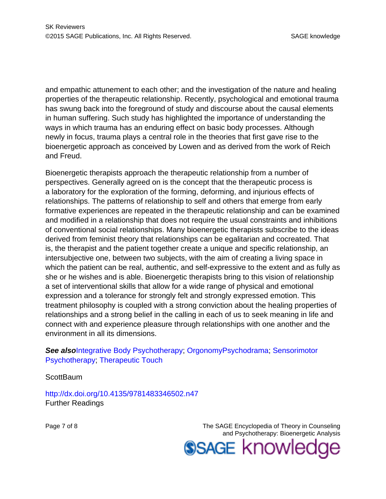and empathic attunement to each other; and the investigation of the nature and healing properties of the therapeutic relationship. Recently, psychological and emotional trauma has swung back into the foreground of study and discourse about the causal elements in human suffering. Such study has highlighted the importance of understanding the ways in which trauma has an enduring effect on basic body processes. Although newly in focus, trauma plays a central role in the theories that first gave rise to the bioenergetic approach as conceived by Lowen and as derived from the work of Reich and Freud.

Bioenergetic therapists approach the therapeutic relationship from a number of perspectives. Generally agreed on is the concept that the therapeutic process is a laboratory for the exploration of the forming, deforming, and injurious effects of relationships. The patterns of relationship to self and others that emerge from early formative experiences are repeated in the therapeutic relationship and can be examined and modified in a relationship that does not require the usual constraints and inhibitions of conventional social relationships. Many bioenergetic therapists subscribe to the ideas derived from feminist theory that relationships can be egalitarian and cocreated. That is, the therapist and the patient together create a unique and specific relationship, an intersubjective one, between two subjects, with the aim of creating a living space in which the patient can be real, authentic, and self-expressive to the extent and as fully as she or he wishes and is able. Bioenergetic therapists bring to this vision of relationship a set of interventional skills that allow for a wide range of physical and emotional expression and a tolerance for strongly felt and strongly expressed emotion. This treatment philosophy is coupled with a strong conviction about the healing properties of relationships and a strong belief in the calling in each of us to seek meaning in life and connect with and experience pleasure through relationships with one another and the environment in all its dimensions.

#### **See also[Integrative Body Psychotherapy](http://knowledge.sagepub.com/view/the-sage-encyclopedia-of-theory-in-counseling-and-psychotherapy/n190.i1.xml): [Orgonomy](http://knowledge.sagepub.com/view/the-sage-encyclopedia-of-theory-in-counseling-and-psychotherapy/n263.i1.xml)[Psychodrama](http://knowledge.sagepub.com/view/the-sage-encyclopedia-of-theory-in-counseling-and-psychotherapy/n291.i1.xml): [Sensorimotor](http://knowledge.sagepub.com/view/the-sage-encyclopedia-of-theory-in-counseling-and-psychotherapy/n330.i1.xml)** [Psychotherapy](http://knowledge.sagepub.com/view/the-sage-encyclopedia-of-theory-in-counseling-and-psychotherapy/n330.i1.xml); [Therapeutic Touch](http://knowledge.sagepub.com/view/the-sage-encyclopedia-of-theory-in-counseling-and-psychotherapy/n355.i1.xml)

**ScottBaum** 

<http://dx.doi.org/10.4135/9781483346502.n47> Further Readings

Page 7 of 8 The SAGE Encyclopedia of Theory in Counseling and Psychotherapy: Bioenergetic Analysis